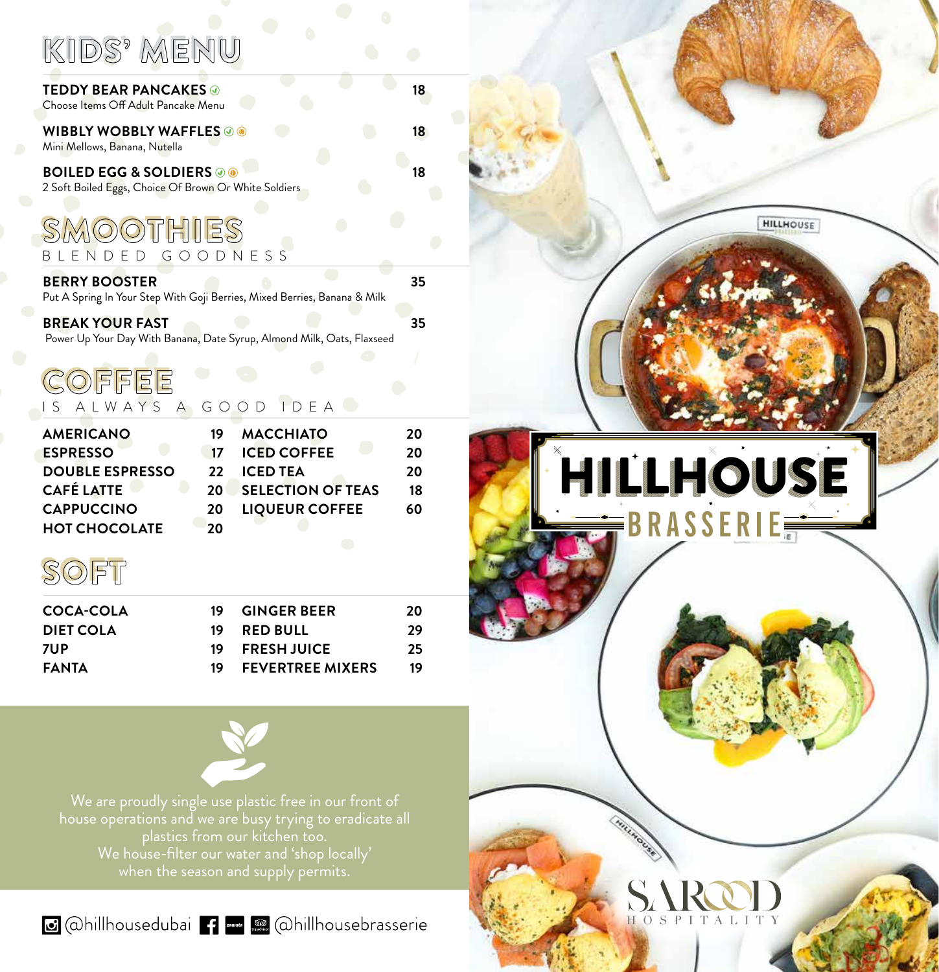# KIDS' MENU

| <b>TEDDY BEAR PANCAKES</b> ©<br>Choose Items Off Adult Pancake Menu                               |                 |                                                                        | 18 |
|---------------------------------------------------------------------------------------------------|-----------------|------------------------------------------------------------------------|----|
| WIBBLY WOBBLY WAFFLES © ®<br>Mini Mellows, Banana, Nutella                                        |                 |                                                                        | 18 |
| <b>BOILED EGG &amp; SOLDIERS OO</b><br>2 Soft Boiled Eggs, Choice Of Brown Or White Soldiers      |                 |                                                                        | 18 |
| OTHIES<br>BLEN<br>E<br>G<br>D                                                                     |                 | OODNESS                                                                |    |
| <b>BERRY BOOSTER</b><br>Put A Spring In Your Step With Goji Berries, Mixed Berries, Banana & Milk |                 |                                                                        | 35 |
| <b>BREAK YOUR FAST</b>                                                                            |                 | Power Up Your Day With Banana, Date Syrup, Almond Milk, Oats, Flaxseed | 35 |
| OFFEE<br>ALWAYS<br>IS.<br>A                                                                       |                 | GOOD IDEA                                                              |    |
| <b>AMERICANO</b>                                                                                  | 19              | <b>MACCHIATO</b>                                                       | 20 |
| <b>ESPRESSO</b>                                                                                   | 17              | <b>ICED COFFEE</b>                                                     | 20 |
| <b>DOUBLE ESPRESSO</b>                                                                            | 22              | <b>ICED TEA</b>                                                        | 20 |
| <b>CAFÉ LATTE</b>                                                                                 | 20 <sup>1</sup> | <b>SELECTION OF TEAS</b>                                               | 18 |
| <b>CAPPUCCINO</b>                                                                                 | 20              | <b>LIQUEUR COFFEE</b>                                                  | 60 |
| <b>HOT CHOCOLATE</b>                                                                              | 20              |                                                                        |    |
|                                                                                                   |                 | $\hspace{0.1in} \Box$                                                  |    |
| $S(O)$ FT                                                                                         |                 |                                                                        |    |
| <b>COCA-COLA</b>                                                                                  | 19              | <b>GINGER BEER</b>                                                     | 20 |
| <b>DIET COLA</b>                                                                                  | 19              | <b>RED BULL</b>                                                        | 29 |
| 7UP                                                                                               | 19              | <b>FRESH JUICE</b>                                                     | 25 |
| <b>FANTA</b>                                                                                      |                 | <b>FEVERTREE MIXERS</b>                                                | 19 |

We are proudly single use plastic free in our front of house operations and we are busy trying to eradicate all plastics from our kitchen too. We house-filter our water and 'shop locally' when the season and supply permits.

C @hillhousedubai ( - @ @hillhousebrasserie